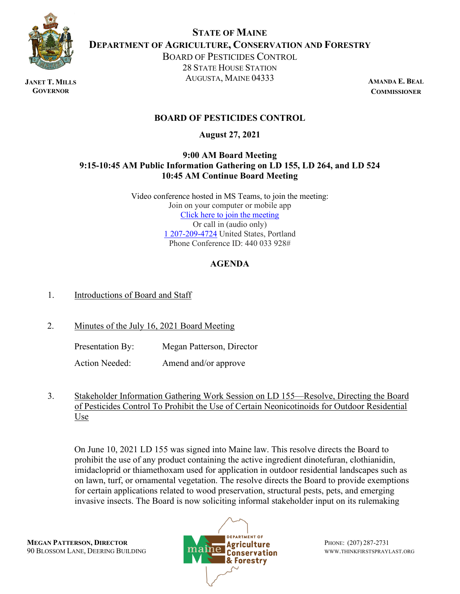

**JANET T. MILLS GOVERNOR**

**STATE OF MAINE DEPARTMENT OF AGRICULTURE, CONSERVATION AND FORESTRY** BOARD OF PESTICIDES CONTROL

28 STATE HOUSE STATION AUGUSTA, MAINE 04333

**AMANDA E. BEAL COMMISSIONER**

## **BOARD OF PESTICIDES CONTROL**

**August 27, 2021**

## **9:00 AM Board Meeting 9:15-10:45 AM Public Information Gathering on LD 155, LD 264, and LD 524 10:45 AM Continue Board Meeting**

Video conference hosted in MS Teams, to join the meeting: Join on your computer or mobile app [Click here to join the meeting](https://teams.microsoft.com/l/meetup-join/19%3ameeting_YjBjNmI4OWYtYWYwZS00NDliLWE1ZmYtYTI5NzUxNzU2YTM4%40thread.v2/0?context=%7b%22Tid%22%3a%22413fa8ab-207d-4b62-9bcd-ea1a8f2f864e%22%2c%22Oid%22%3a%22ed6764cf-969a-43c1-907c-b3249fe5d929%22%7d) Or call in (audio only) [1 207-209-4724](tel:+12072094724,,440033928) United States, Portland Phone Conference ID: 440 033 928#

# **AGENDA**

## 1. Introductions of Board and Staff

2. Minutes of the July 16, 2021 Board Meeting

Presentation By: Megan Patterson, Director

Action Needed: Amend and/or approve

3. Stakeholder Information Gathering Work Session on LD 155—Resolve, Directing the Board of Pesticides Control To Prohibit the Use of Certain Neonicotinoids for Outdoor Residential Use

On June 10, 2021 LD 155 was signed into Maine law. This resolve directs the Board to prohibit the use of any product containing the active ingredient dinotefuran, clothianidin, imidacloprid or thiamethoxam used for application in outdoor residential landscapes such as on lawn, turf, or ornamental vegetation. The resolve directs the Board to provide exemptions for certain applications related to wood preservation, structural pests, pets, and emerging invasive insects. The Board is now soliciting informal stakeholder input on its rulemaking

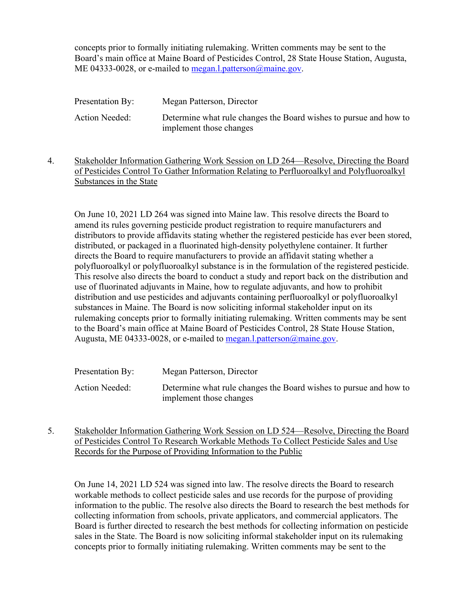concepts prior to formally initiating rulemaking. Written comments may be sent to the Board's main office at Maine Board of Pesticides Control, 28 State House Station, Augusta, ME 04333-0028, or e-mailed to [megan.l.patterson@maine.gov.](mailto:megan.l.patterson@maine.gov)

| Presentation By: | Megan Patterson, Director                                                                    |
|------------------|----------------------------------------------------------------------------------------------|
| Action Needed:   | Determine what rule changes the Board wishes to pursue and how to<br>implement those changes |

4. Stakeholder Information Gathering Work Session on LD 264—Resolve, Directing the Board of Pesticides Control To Gather Information Relating to Perfluoroalkyl and Polyfluoroalkyl Substances in the State

On June 10, 2021 LD 264 was signed into Maine law. This resolve directs the Board to amend its rules governing pesticide product registration to require manufacturers and distributors to provide affidavits stating whether the registered pesticide has ever been stored, distributed, or packaged in a fluorinated high-density polyethylene container. It further directs the Board to require manufacturers to provide an affidavit stating whether a polyfluoroalkyl or polyfluoroalkyl substance is in the formulation of the registered pesticide. This resolve also directs the board to conduct a study and report back on the distribution and use of fluorinated adjuvants in Maine, how to regulate adjuvants, and how to prohibit distribution and use pesticides and adjuvants containing perfluoroalkyl or polyfluoroalkyl substances in Maine. The Board is now soliciting informal stakeholder input on its rulemaking concepts prior to formally initiating rulemaking. Written comments may be sent to the Board's main office at Maine Board of Pesticides Control, 28 State House Station, Augusta, ME 04333-0028, or e-mailed to [megan.l.patterson@maine.gov.](mailto:megan.l.patterson@maine.gov)

| Presentation By:      | Megan Patterson, Director                                                                    |
|-----------------------|----------------------------------------------------------------------------------------------|
| <b>Action Needed:</b> | Determine what rule changes the Board wishes to pursue and how to<br>implement those changes |

5. Stakeholder Information Gathering Work Session on LD 524—Resolve, Directing the Board of Pesticides Control To Research Workable Methods To Collect Pesticide Sales and Use Records for the Purpose of Providing Information to the Public

On June 14, 2021 LD 524 was signed into law. The resolve directs the Board to research workable methods to collect pesticide sales and use records for the purpose of providing information to the public. The resolve also directs the Board to research the best methods for collecting information from schools, private applicators, and commercial applicators. The Board is further directed to research the best methods for collecting information on pesticide sales in the State. The Board is now soliciting informal stakeholder input on its rulemaking concepts prior to formally initiating rulemaking. Written comments may be sent to the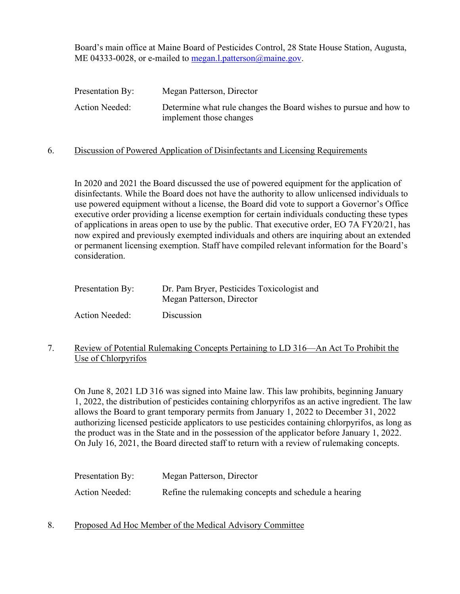Board's main office at Maine Board of Pesticides Control, 28 State House Station, Augusta, ME 04333-0028, or e-mailed to [megan.l.patterson@maine.gov.](mailto:megan.l.patterson@maine.gov)

| Presentation By: | Megan Patterson, Director                                                                    |
|------------------|----------------------------------------------------------------------------------------------|
| Action Needed:   | Determine what rule changes the Board wishes to pursue and how to<br>implement those changes |
|                  |                                                                                              |

### 6. Discussion of Powered Application of Disinfectants and Licensing Requirements

In 2020 and 2021 the Board discussed the use of powered equipment for the application of disinfectants. While the Board does not have the authority to allow unlicensed individuals to use powered equipment without a license, the Board did vote to support a Governor's Office executive order providing a license exemption for certain individuals conducting these types of applications in areas open to use by the public. That executive order, EO 7A FY20/21, has now expired and previously exempted individuals and others are inquiring about an extended or permanent licensing exemption. Staff have compiled relevant information for the Board's consideration.

| Presentation By:      | Dr. Pam Bryer, Pesticides Toxicologist and<br>Megan Patterson, Director |
|-----------------------|-------------------------------------------------------------------------|
| <b>Action Needed:</b> | Discussion                                                              |

### 7. Review of Potential Rulemaking Concepts Pertaining to LD 316—An Act To Prohibit the Use of Chlorpyrifos

On June 8, 2021 LD 316 was signed into Maine law. This law prohibits, beginning January 1, 2022, the distribution of pesticides containing chlorpyrifos as an active ingredient. The law allows the Board to grant temporary permits from January 1, 2022 to December 31, 2022 authorizing licensed pesticide applicators to use pesticides containing chlorpyrifos, as long as the product was in the State and in the possession of the applicator before January 1, 2022. On July 16, 2021, the Board directed staff to return with a review of rulemaking concepts.

| Presentation By: | Megan Patterson, Director                             |
|------------------|-------------------------------------------------------|
| Action Needed:   | Refine the rulemaking concepts and schedule a hearing |

8. Proposed Ad Hoc Member of the Medical Advisory Committee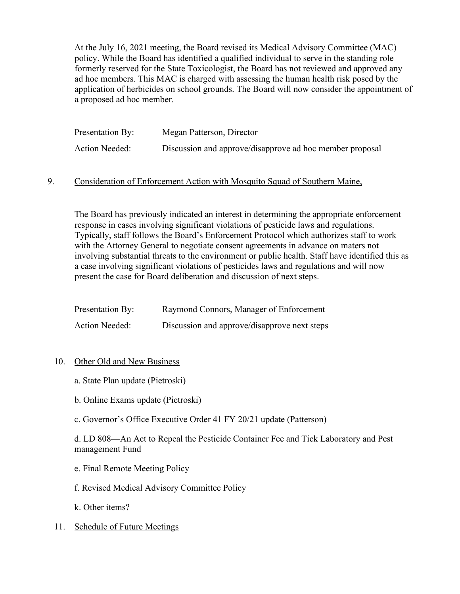At the July 16, 2021 meeting, the Board revised its Medical Advisory Committee (MAC) policy. While the Board has identified a qualified individual to serve in the standing role formerly reserved for the State Toxicologist, the Board has not reviewed and approved any ad hoc members. This MAC is charged with assessing the human health risk posed by the application of herbicides on school grounds. The Board will now consider the appointment of a proposed ad hoc member.

| Presentation By: | Megan Patterson, Director                                |
|------------------|----------------------------------------------------------|
| Action Needed:   | Discussion and approve/disapprove ad hoc member proposal |

### 9. Consideration of Enforcement Action with Mosquito Squad of Southern Maine,

The Board has previously indicated an interest in determining the appropriate enforcement response in cases involving significant violations of pesticide laws and regulations. Typically, staff follows the Board's Enforcement Protocol which authorizes staff to work with the Attorney General to negotiate consent agreements in advance on maters not involving substantial threats to the environment or public health. Staff have identified this as a case involving significant violations of pesticides laws and regulations and will now present the case for Board deliberation and discussion of next steps.

| Presentation By:      | Raymond Connors, Manager of Enforcement      |
|-----------------------|----------------------------------------------|
| <b>Action Needed:</b> | Discussion and approve/disapprove next steps |

#### 10. Other Old and New Business

- a. State Plan update (Pietroski)
- b. Online Exams update (Pietroski)
- c. Governor's Office Executive Order 41 FY 20/21 update (Patterson)

d. LD 808—An Act to Repeal the Pesticide Container Fee and Tick Laboratory and Pest management Fund

- e. Final Remote Meeting Policy
- f. Revised Medical Advisory Committee Policy
- k. Other items?

#### 11. Schedule of Future Meetings